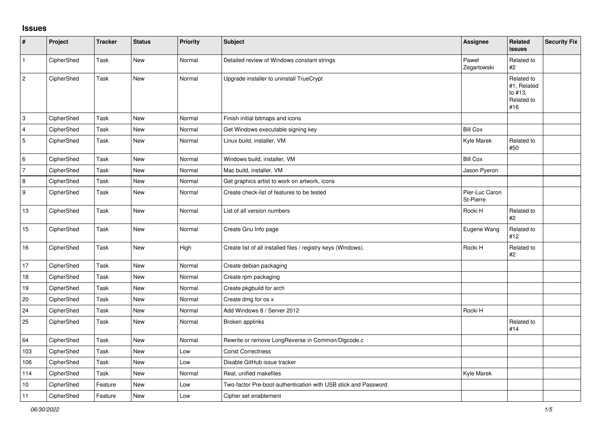## **Issues**

| $\pmb{\sharp}$            | Project    | <b>Tracker</b> | <b>Status</b> | Priority | <b>Subject</b>                                                 | <b>Assignee</b>             | Related<br>issues                                         | <b>Security Fix</b> |
|---------------------------|------------|----------------|---------------|----------|----------------------------------------------------------------|-----------------------------|-----------------------------------------------------------|---------------------|
| $\mathbf{1}$              | CipherShed | Task           | New           | Normal   | Detailed review of Windows constant strings                    | Paweł<br>Zegartowski        | Related to<br>#2                                          |                     |
| $\sqrt{2}$                | CipherShed | Task           | <b>New</b>    | Normal   | Upgrade installer to uninstall TrueCrypt                       |                             | Related to<br>#1, Related<br>to #13,<br>Related to<br>#16 |                     |
| $\ensuremath{\mathsf{3}}$ | CipherShed | Task           | <b>New</b>    | Normal   | Finish initial bitmaps and icons                               |                             |                                                           |                     |
| $\overline{4}$            | CipherShed | Task           | New           | Normal   | Get Windows executable signing key                             | <b>Bill Cox</b>             |                                                           |                     |
| $\sqrt{5}$                | CipherShed | Task           | New           | Normal   | Linux build, installer, VM                                     | Kyle Marek                  | Related to<br>#50                                         |                     |
| 6                         | CipherShed | Task           | <b>New</b>    | Normal   | Windows build, installer, VM                                   | <b>Bill Cox</b>             |                                                           |                     |
| $\overline{7}$            | CipherShed | Task           | <b>New</b>    | Normal   | Mac build, installer, VM                                       | Jason Pyeron                |                                                           |                     |
| 8                         | CipherShed | Task           | New           | Normal   | Get graphics artist to work on artwork, icons                  |                             |                                                           |                     |
| $\boldsymbol{9}$          | CipherShed | Task           | <b>New</b>    | Normal   | Create check-list of features to be tested                     | Pier-Luc Caron<br>St-Pierre |                                                           |                     |
| 13                        | CipherShed | Task           | <b>New</b>    | Normal   | List of all version numbers                                    | Rocki H                     | Related to<br>#2                                          |                     |
| 15                        | CipherShed | Task           | <b>New</b>    | Normal   | Create Gnu Info page                                           | Eugene Wang                 | Related to<br>#12                                         |                     |
| 16                        | CipherShed | Task           | <b>New</b>    | High     | Create list of all installed files / registry keys (Windows).  | Rocki H                     | Related to<br>#2                                          |                     |
| 17                        | CipherShed | Task           | New           | Normal   | Create debian packaging                                        |                             |                                                           |                     |
| 18                        | CipherShed | Task           | New           | Normal   | Create rpm packaging                                           |                             |                                                           |                     |
| 19                        | CipherShed | Task           | <b>New</b>    | Normal   | Create pkgbuild for arch                                       |                             |                                                           |                     |
| 20                        | CipherShed | Task           | <b>New</b>    | Normal   | Create dmg for os x                                            |                             |                                                           |                     |
| 24                        | CipherShed | Task           | <b>New</b>    | Normal   | Add Windows 8 / Server 2012                                    | Rocki H                     |                                                           |                     |
| 25                        | CipherShed | Task           | <b>New</b>    | Normal   | Broken applinks                                                |                             | Related to<br>#14                                         |                     |
| 64                        | CipherShed | Task           | New           | Normal   | Rewrite or remove LongReverse in Common/DIgcode.c              |                             |                                                           |                     |
| 103                       | CipherShed | Task           | New           | Low      | <b>Const Correctness</b>                                       |                             |                                                           |                     |
| 106                       | CipherShed | Task           | <b>New</b>    | Low      | Disable GitHub issue tracker                                   |                             |                                                           |                     |
| 114                       | CipherShed | Task           | <b>New</b>    | Normal   | Real, unified makefiles                                        | Kyle Marek                  |                                                           |                     |
| 10                        | CipherShed | Feature        | <b>New</b>    | Low      | Two-factor Pre-boot-authentication with USB stick and Password |                             |                                                           |                     |
| 11                        | CipherShed | Feature        | New           | Low      | Cipher set enablement                                          |                             |                                                           |                     |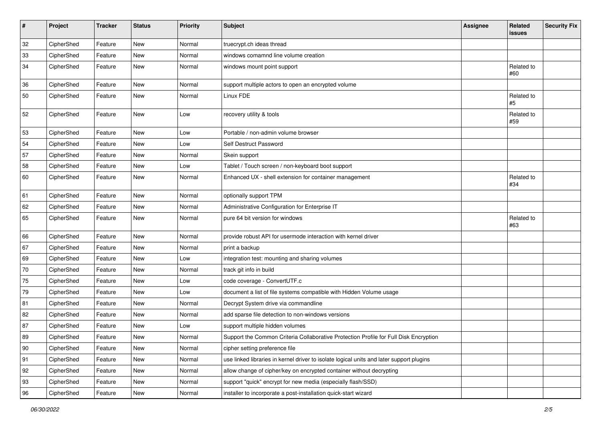| #            | Project    | <b>Tracker</b> | <b>Status</b> | Priority | Subject                                                                                  | <b>Assignee</b> | Related<br>issues | <b>Security Fix</b> |
|--------------|------------|----------------|---------------|----------|------------------------------------------------------------------------------------------|-----------------|-------------------|---------------------|
| 32           | CipherShed | Feature        | <b>New</b>    | Normal   | truecrypt.ch ideas thread                                                                |                 |                   |                     |
| 33           | CipherShed | Feature        | <b>New</b>    | Normal   | windows comamnd line volume creation                                                     |                 |                   |                     |
| 34           | CipherShed | Feature        | New           | Normal   | windows mount point support                                                              |                 | Related to<br>#60 |                     |
| 36           | CipherShed | Feature        | New           | Normal   | support multiple actors to open an encrypted volume                                      |                 |                   |                     |
| 50           | CipherShed | Feature        | New           | Normal   | Linux FDE                                                                                |                 | Related to<br>#5  |                     |
| 52           | CipherShed | Feature        | New           | Low      | recovery utility & tools                                                                 |                 | Related to<br>#59 |                     |
| 53           | CipherShed | Feature        | New           | Low      | Portable / non-admin volume browser                                                      |                 |                   |                     |
| 54           | CipherShed | Feature        | New           | Low      | Self Destruct Password                                                                   |                 |                   |                     |
| 57           | CipherShed | Feature        | <b>New</b>    | Normal   | Skein support                                                                            |                 |                   |                     |
| 58           | CipherShed | Feature        | New           | Low      | Tablet / Touch screen / non-keyboard boot support                                        |                 |                   |                     |
| 60           | CipherShed | Feature        | New           | Normal   | Enhanced UX - shell extension for container management                                   |                 | Related to<br>#34 |                     |
| 61           | CipherShed | Feature        | <b>New</b>    | Normal   | optionally support TPM                                                                   |                 |                   |                     |
| 62           | CipherShed | Feature        | <b>New</b>    | Normal   | Administrative Configuration for Enterprise IT                                           |                 |                   |                     |
| 65           | CipherShed | Feature        | New           | Normal   | pure 64 bit version for windows                                                          |                 | Related to<br>#63 |                     |
| 66           | CipherShed | Feature        | <b>New</b>    | Normal   | provide robust API for usermode interaction with kernel driver                           |                 |                   |                     |
| 67           | CipherShed | Feature        | New           | Normal   | print a backup                                                                           |                 |                   |                     |
| 69           | CipherShed | Feature        | <b>New</b>    | Low      | integration test: mounting and sharing volumes                                           |                 |                   |                     |
| $70\,$       | CipherShed | Feature        | <b>New</b>    | Normal   | track git info in build                                                                  |                 |                   |                     |
| 75           | CipherShed | Feature        | New           | Low      | code coverage - ConvertUTF.c                                                             |                 |                   |                     |
| 79           | CipherShed | Feature        | <b>New</b>    | Low      | document a list of file systems compatible with Hidden Volume usage                      |                 |                   |                     |
| 81           | CipherShed | Feature        | New           | Normal   | Decrypt System drive via commandline                                                     |                 |                   |                     |
| 82           | CipherShed | Feature        | <b>New</b>    | Normal   | add sparse file detection to non-windows versions                                        |                 |                   |                     |
| 87           | CipherShed | Feature        | New           | Low      | support multiple hidden volumes                                                          |                 |                   |                     |
| 89           | CipherShed | Feature        | New           | Normal   | Support the Common Criteria Collaborative Protection Profile for Full Disk Encryption    |                 |                   |                     |
| $ 90\rangle$ | CipherShed | Feature        | New           | Normal   | cipher setting preference file                                                           |                 |                   |                     |
| 91           | CipherShed | Feature        | New           | Normal   | use linked libraries in kernel driver to isolate logical units and later support plugins |                 |                   |                     |
| 92           | CipherShed | Feature        | New           | Normal   | allow change of cipher/key on encrypted container without decrypting                     |                 |                   |                     |
| 93           | CipherShed | Feature        | New           | Normal   | support "quick" encrypt for new media (especially flash/SSD)                             |                 |                   |                     |
| 96           | CipherShed | Feature        | New           | Normal   | installer to incorporate a post-installation quick-start wizard                          |                 |                   |                     |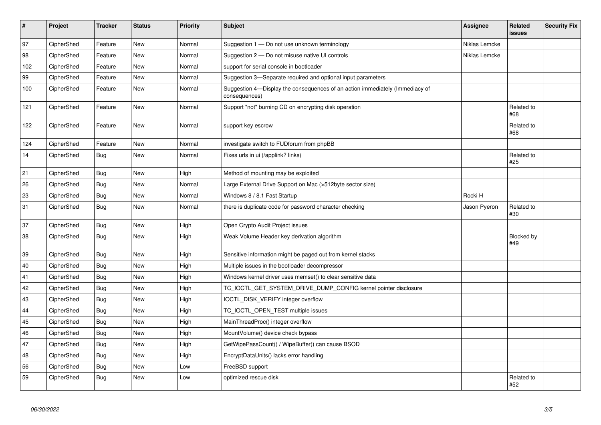| $\vert$ # | Project    | <b>Tracker</b> | <b>Status</b> | <b>Priority</b> | <b>Subject</b>                                                                                | Assignee      | Related<br><b>issues</b> | <b>Security Fix</b> |
|-----------|------------|----------------|---------------|-----------------|-----------------------------------------------------------------------------------------------|---------------|--------------------------|---------------------|
| 97        | CipherShed | Feature        | <b>New</b>    | Normal          | Suggestion 1 - Do not use unknown terminology                                                 | Niklas Lemcke |                          |                     |
| 98        | CipherShed | Feature        | New           | Normal          | Suggestion 2 - Do not misuse native UI controls                                               | Niklas Lemcke |                          |                     |
| 102       | CipherShed | Feature        | <b>New</b>    | Normal          | support for serial console in bootloader                                                      |               |                          |                     |
| 99        | CipherShed | Feature        | <b>New</b>    | Normal          | Suggestion 3-Separate required and optional input parameters                                  |               |                          |                     |
| 100       | CipherShed | Feature        | New           | Normal          | Suggestion 4—Display the consequences of an action immediately (Immediacy of<br>consequences) |               |                          |                     |
| 121       | CipherShed | Feature        | <b>New</b>    | Normal          | Support "not" burning CD on encrypting disk operation                                         |               | Related to<br>#68        |                     |
| 122       | CipherShed | Feature        | <b>New</b>    | Normal          | support key escrow                                                                            |               | Related to<br>#68        |                     |
| 124       | CipherShed | Feature        | New           | Normal          | investigate switch to FUDforum from phpBB                                                     |               |                          |                     |
| 14        | CipherShed | <b>Bug</b>     | New           | Normal          | Fixes urls in ui (/applink? links)                                                            |               | Related to<br>#25        |                     |
| 21        | CipherShed | <b>Bug</b>     | New           | High            | Method of mounting may be exploited                                                           |               |                          |                     |
| 26        | CipherShed | <b>Bug</b>     | New           | Normal          | Large External Drive Support on Mac (>512byte sector size)                                    |               |                          |                     |
| 23        | CipherShed | <b>Bug</b>     | New           | Normal          | Windows 8 / 8.1 Fast Startup                                                                  | Rocki H       |                          |                     |
| 31        | CipherShed | Bug            | New           | Normal          | there is duplicate code for password character checking                                       | Jason Pyeron  | Related to<br>#30        |                     |
| 37        | CipherShed | <b>Bug</b>     | New           | High            | Open Crypto Audit Project issues                                                              |               |                          |                     |
| 38        | CipherShed | <b>Bug</b>     | New           | High            | Weak Volume Header key derivation algorithm                                                   |               | Blocked by<br>#49        |                     |
| 39        | CipherShed | <b>Bug</b>     | New           | High            | Sensitive information might be paged out from kernel stacks                                   |               |                          |                     |
| 40        | CipherShed | Bug            | <b>New</b>    | High            | Multiple issues in the bootloader decompressor                                                |               |                          |                     |
| 41        | CipherShed | <b>Bug</b>     | <b>New</b>    | High            | Windows kernel driver uses memset() to clear sensitive data                                   |               |                          |                     |
| 42        | CipherShed | <b>Bug</b>     | <b>New</b>    | High            | TC_IOCTL_GET_SYSTEM_DRIVE_DUMP_CONFIG kernel pointer disclosure                               |               |                          |                     |
| 43        | CipherShed | <b>Bug</b>     | New           | High            | IOCTL DISK VERIFY integer overflow                                                            |               |                          |                     |
| 44        | CipherShed | Bug            | New           | High            | TC_IOCTL_OPEN_TEST multiple issues                                                            |               |                          |                     |
| 45        | CipherShed | <b>Bug</b>     | <b>New</b>    | High            | MainThreadProc() integer overflow                                                             |               |                          |                     |
| 46        | CipherShed | <b>Bug</b>     | New           | High            | MountVolume() device check bypass                                                             |               |                          |                     |
| 47        | CipherShed | <b>Bug</b>     | <b>New</b>    | High            | GetWipePassCount() / WipeBuffer() can cause BSOD                                              |               |                          |                     |
| 48        | CipherShed | <b>Bug</b>     | <b>New</b>    | High            | EncryptDataUnits() lacks error handling                                                       |               |                          |                     |
| 56        | CipherShed | <b>Bug</b>     | <b>New</b>    | Low             | FreeBSD support                                                                               |               |                          |                     |
| 59        | CipherShed | Bug            | New           | Low             | optimized rescue disk                                                                         |               | Related to<br>#52        |                     |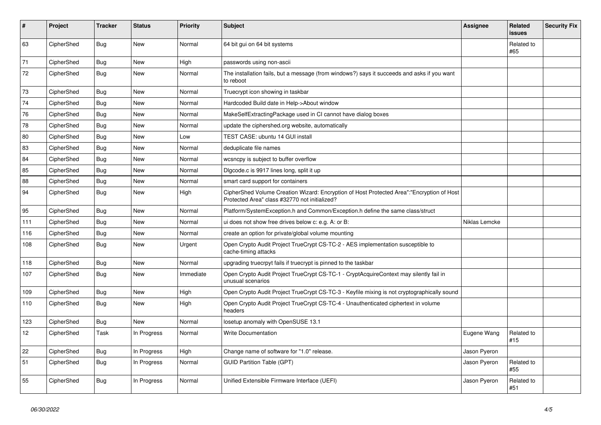| $\vert$ # | Project    | <b>Tracker</b> | <b>Status</b> | <b>Priority</b> | <b>Subject</b>                                                                                                                             | Assignee      | Related<br><b>issues</b> | <b>Security Fix</b> |
|-----------|------------|----------------|---------------|-----------------|--------------------------------------------------------------------------------------------------------------------------------------------|---------------|--------------------------|---------------------|
| 63        | CipherShed | <b>Bug</b>     | <b>New</b>    | Normal          | 64 bit gui on 64 bit systems                                                                                                               |               | Related to<br>#65        |                     |
| 71        | CipherShed | Bug            | <b>New</b>    | High            | passwords using non-ascii                                                                                                                  |               |                          |                     |
| 72        | CipherShed | Bug            | New           | Normal          | The installation fails, but a message (from windows?) says it succeeds and asks if you want<br>to reboot                                   |               |                          |                     |
| 73        | CipherShed | Bug            | <b>New</b>    | Normal          | Truecrypt icon showing in taskbar                                                                                                          |               |                          |                     |
| 74        | CipherShed | Bug            | <b>New</b>    | Normal          | Hardcoded Build date in Help->About window                                                                                                 |               |                          |                     |
| 76        | CipherShed | Bug            | <b>New</b>    | Normal          | MakeSelfExtractingPackage used in CI cannot have dialog boxes                                                                              |               |                          |                     |
| 78        | CipherShed | Bug            | <b>New</b>    | Normal          | update the ciphershed org website, automatically                                                                                           |               |                          |                     |
| 80        | CipherShed | Bug            | <b>New</b>    | Low             | TEST CASE: ubuntu 14 GUI install                                                                                                           |               |                          |                     |
| 83        | CipherShed | <b>Bug</b>     | <b>New</b>    | Normal          | deduplicate file names                                                                                                                     |               |                          |                     |
| 84        | CipherShed | <b>Bug</b>     | <b>New</b>    | Normal          | wcsncpy is subject to buffer overflow                                                                                                      |               |                          |                     |
| 85        | CipherShed | <b>Bug</b>     | <b>New</b>    | Normal          | Digcode.c is 9917 lines long, split it up                                                                                                  |               |                          |                     |
| 88        | CipherShed | <b>Bug</b>     | <b>New</b>    | Normal          | smart card support for containers                                                                                                          |               |                          |                     |
| 94        | CipherShed | <b>Bug</b>     | <b>New</b>    | High            | CipherShed Volume Creation Wizard: Encryption of Host Protected Area":"Encryption of Host<br>Protected Area" class #32770 not initialized? |               |                          |                     |
| 95        | CipherShed | Bug            | New           | Normal          | Platform/SystemException.h and Common/Exception.h define the same class/struct                                                             |               |                          |                     |
| 111       | CipherShed | <b>Bug</b>     | <b>New</b>    | Normal          | ui does not show free drives below c: e.g. A: or B:                                                                                        | Niklas Lemcke |                          |                     |
| 116       | CipherShed | Bug            | <b>New</b>    | Normal          | create an option for private/global volume mounting                                                                                        |               |                          |                     |
| 108       | CipherShed | Bug            | <b>New</b>    | Urgent          | Open Crypto Audit Project TrueCrypt CS-TC-2 - AES implementation susceptible to<br>cache-timing attacks                                    |               |                          |                     |
| 118       | CipherShed | <b>Bug</b>     | New           | Normal          | upgrading truecrpyt fails if truecrypt is pinned to the taskbar                                                                            |               |                          |                     |
| 107       | CipherShed | Bug            | <b>New</b>    | Immediate       | Open Crypto Audit Project TrueCrypt CS-TC-1 - CryptAcquireContext may silently fail in<br>unusual scenarios                                |               |                          |                     |
| 109       | CipherShed | <b>Bug</b>     | <b>New</b>    | High            | Open Crypto Audit Project TrueCrypt CS-TC-3 - Keyfile mixing is not cryptographically sound                                                |               |                          |                     |
| 110       | CipherShed | Bug            | <b>New</b>    | High            | Open Crypto Audit Project TrueCrypt CS-TC-4 - Unauthenticated ciphertext in volume<br>headers                                              |               |                          |                     |
| 123       | CipherShed | <b>Bug</b>     | <b>New</b>    | Normal          | losetup anomaly with OpenSUSE 13.1                                                                                                         |               |                          |                     |
| 12        | CipherShed | Task           | In Progress   | Normal          | <b>Write Documentation</b>                                                                                                                 | Eugene Wang   | Related to<br>#15        |                     |
| 22        | CipherShed | <b>Bug</b>     | In Progress   | High            | Change name of software for "1.0" release.                                                                                                 | Jason Pyeron  |                          |                     |
| 51        | CipherShed | Bug            | In Progress   | Normal          | <b>GUID Partition Table (GPT)</b>                                                                                                          | Jason Pyeron  | Related to<br>#55        |                     |
| 55        | CipherShed | <b>Bug</b>     | In Progress   | Normal          | Unified Extensible Firmware Interface (UEFI)                                                                                               | Jason Pyeron  | Related to<br>#51        |                     |